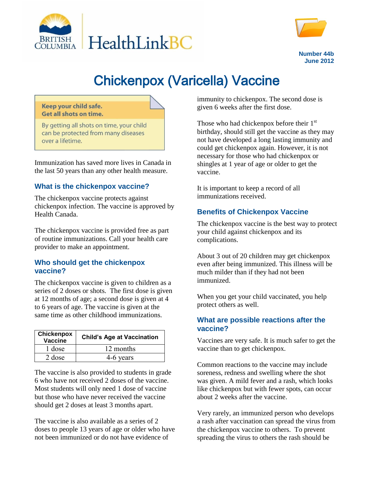



**Number 44b June 2012**

# Chickenpox (Varicella) Vaccine

#### Keep your child safe. **Get all shots on time.**

By getting all shots on time, your child can be protected from many diseases over a lifetime.

Immunization has saved more lives in Canada in the last 50 years than any other health measure.

## **What is the chickenpox vaccine?**

The chickenpox vaccine protects against chickenpox infection. The vaccine is approved by Health Canada.

The chickenpox vaccine is provided free as part of routine immunizations. Call your health care provider to make an appointment.

## **Who should get the chickenpox vaccine?**

The chickenpox vaccine is given to children as a series of 2 doses or shots. The first dose is given at 12 months of age; a second dose is given at 4 to 6 years of age. The vaccine is given at the same time as other childhood immunizations.

| Chickenpox<br>Vaccine | <b>Child's Age at Vaccination</b> |
|-----------------------|-----------------------------------|
| 1 dose                | 12 months                         |
| 2 dose                | 4-6 years                         |

The vaccine is also provided to students in grade 6 who have not received 2 doses of the vaccine. Most students will only need 1 dose of vaccine but those who have never received the vaccine should get 2 doses at least 3 months apart.

The vaccine is also available as a series of 2 doses to people 13 years of age or older who have not been immunized or do not have evidence of

immunity to chickenpox. The second dose is given 6 weeks after the first dose.

Those who had chickenpox before their  $1<sup>st</sup>$ birthday, should still get the vaccine as they may not have developed a long lasting immunity and could get chickenpox again. However, it is not necessary for those who had chickenpox or shingles at 1 year of age or older to get the vaccine.

It is important to keep a record of all immunizations received.

## **Benefits of Chickenpox Vaccine**

The chickenpox vaccine is the best way to protect your child against chickenpox and its complications.

About 3 out of 20 children may get chickenpox even after being immunized. This illness will be much milder than if they had not been immunized.

When you get your child vaccinated, you help protect others as well.

#### **What are possible reactions after the vaccine?**

Vaccines are very safe. It is much safer to get the vaccine than to get chickenpox.

Common reactions to the vaccine may include soreness, redness and swelling where the shot was given. A mild fever and a rash, which looks like chickenpox but with fewer spots, can occur about 2 weeks after the vaccine.

Very rarely, an immunized person who develops a rash after vaccination can spread the virus from the chickenpox vaccine to others. To prevent spreading the virus to others the rash should be